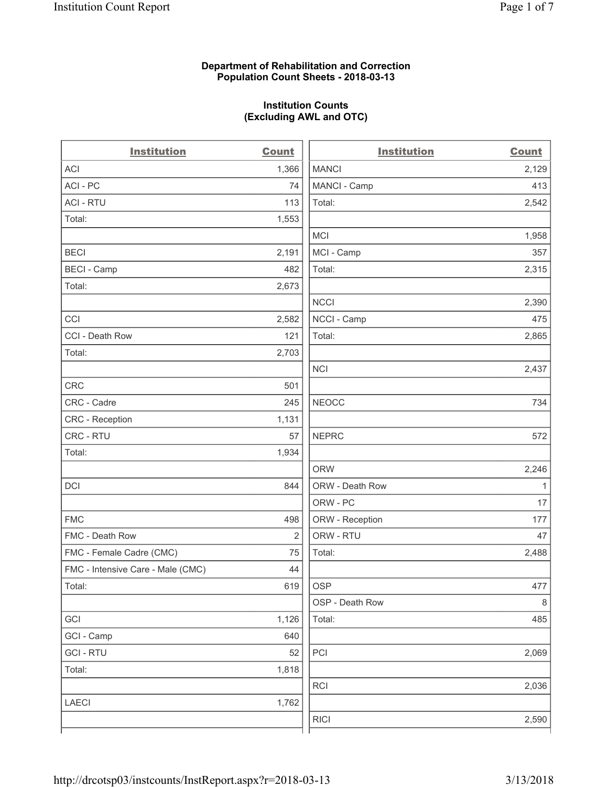# **Department of Rehabilitation and Correction Population Count Sheets - 2018-03-13**

# **Institution Counts (Excluding AWL and OTC)**

 $\overline{a}$ .

| <b>Institution</b>                | <b>Count</b> | <b>Institution</b> | <b>Count</b> |
|-----------------------------------|--------------|--------------------|--------------|
| <b>ACI</b>                        | 1,366        | <b>MANCI</b>       | 2,129        |
| ACI - PC                          | 74           | MANCI - Camp       | 413          |
| <b>ACI - RTU</b>                  | 113          | Total:             | 2,542        |
| Total:                            | 1,553        |                    |              |
|                                   |              | MCI                | 1,958        |
| <b>BECI</b>                       | 2,191        | MCI - Camp         | 357          |
| <b>BECI</b> - Camp                | 482          | Total:             | 2,315        |
| Total:                            | 2,673        |                    |              |
|                                   |              | <b>NCCI</b>        | 2,390        |
| CCI                               | 2,582        | NCCI - Camp        | 475          |
| CCI - Death Row                   | 121          | Total:             | 2,865        |
| Total:                            | 2,703        |                    |              |
|                                   |              | <b>NCI</b>         | 2,437        |
| <b>CRC</b>                        | 501          |                    |              |
| CRC - Cadre                       | 245          | <b>NEOCC</b>       | 734          |
| CRC - Reception                   | 1,131        |                    |              |
| CRC - RTU                         | 57           | <b>NEPRC</b>       | 572          |
| Total:                            | 1,934        |                    |              |
|                                   |              | <b>ORW</b>         | 2,246        |
| DCI                               | 844          | ORW - Death Row    | 1            |
|                                   |              | ORW - PC           | 17           |
| <b>FMC</b>                        | 498          | ORW - Reception    | 177          |
| FMC - Death Row                   | 2            | ORW - RTU          | 47           |
| FMC - Female Cadre (CMC)          | 75           | Total:             | 2,488        |
| FMC - Intensive Care - Male (CMC) | 44           |                    |              |
| Total:                            | 619          | <b>OSP</b>         | 477          |
|                                   |              | OSP - Death Row    | $\,8\,$      |
| GCI                               | 1,126        | Total:             | 485          |
| GCI - Camp                        | 640          |                    |              |
| <b>GCI-RTU</b>                    | 52           | PCI                | 2,069        |
| Total:                            | 1,818        |                    |              |
|                                   |              | RCI                | 2,036        |
| <b>LAECI</b>                      | 1,762        |                    |              |
|                                   |              | <b>RICI</b>        | 2,590        |
|                                   |              |                    |              |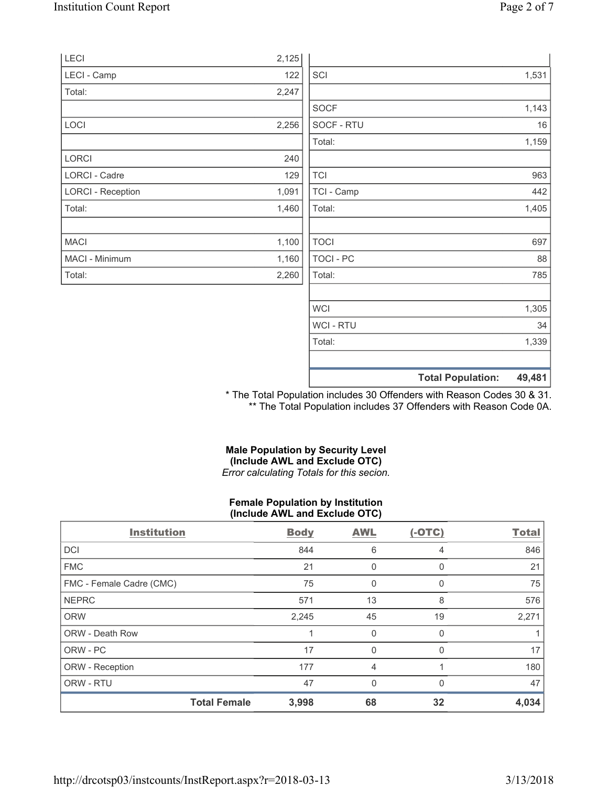| LECI                     | 2,125 |             |                                    |
|--------------------------|-------|-------------|------------------------------------|
| LECI - Camp              | 122   | SCI         | 1,531                              |
| Total:                   | 2,247 |             |                                    |
|                          |       | <b>SOCF</b> | 1,143                              |
| LOCI                     | 2,256 | SOCF - RTU  | 16                                 |
|                          |       | Total:      | 1,159                              |
| LORCI                    | 240   |             |                                    |
| LORCI - Cadre            | 129   | <b>TCI</b>  | 963                                |
| <b>LORCI - Reception</b> | 1,091 | TCI - Camp  | 442                                |
| Total:                   | 1,460 | Total:      | 1,405                              |
|                          |       |             |                                    |
| <b>MACI</b>              | 1,100 | <b>TOCI</b> | 697                                |
| MACI - Minimum           | 1,160 | TOCI - PC   | 88                                 |
| Total:                   | 2,260 | Total:      | 785                                |
|                          |       |             |                                    |
|                          |       | WCI         | 1,305                              |
|                          |       | WCI - RTU   | 34                                 |
|                          |       | Total:      | 1,339                              |
|                          |       |             | 49,481<br><b>Total Population:</b> |

\* The Total Population includes 30 Offenders with Reason Codes 30 & 31. \*\* The Total Population includes 37 Offenders with Reason Code 0A.

# **Male Population by Security Level (Include AWL and Exclude OTC)**  *Error calculating Totals for this secion.*

# **Female Population by Institution (Include AWL and Exclude OTC)**

| <b>Institution</b>       |                     | <b>Body</b> | <b>AWL</b>   | $(-OTC)$     | <b>Total</b> |
|--------------------------|---------------------|-------------|--------------|--------------|--------------|
| <b>DCI</b>               |                     | 844         | 6            | 4            | 846          |
| <b>FMC</b>               |                     | 21          | 0            | $\Omega$     | 21           |
| FMC - Female Cadre (CMC) |                     | 75          | 0            | O            | 75           |
| <b>NEPRC</b>             |                     | 571         | 13           | 8            | 576          |
| <b>ORW</b>               |                     | 2,245       | 45           | 19           | 2,271        |
| <b>ORW - Death Row</b>   |                     |             | $\mathbf{0}$ | <sup>0</sup> |              |
| ORW - PC                 |                     | 17          | 0            | $\Omega$     | 17           |
| ORW - Reception          |                     | 177         | 4            |              | 180          |
| ORW - RTU                |                     | 47          | 0            | $\Omega$     | 47           |
|                          | <b>Total Female</b> | 3,998       | 68           | 32           | 4,034        |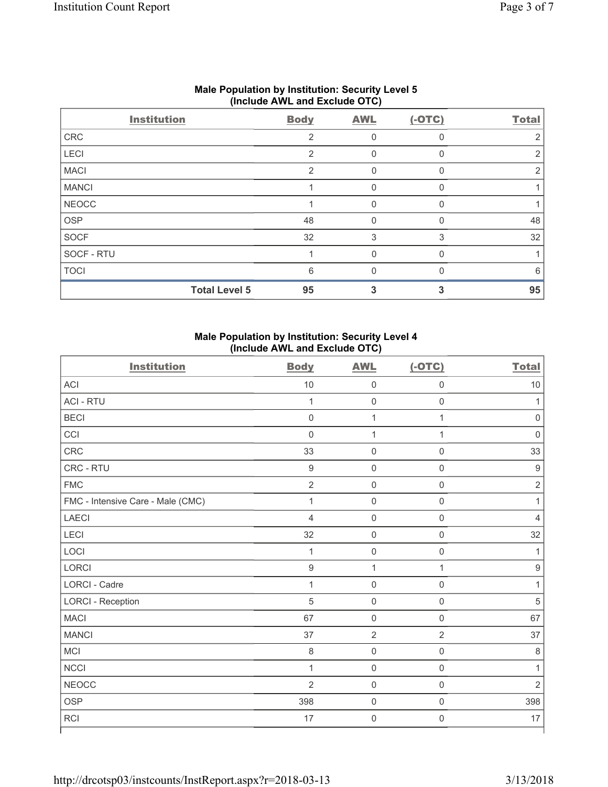| (1101440)    |                      |                |            |          |              |  |
|--------------|----------------------|----------------|------------|----------|--------------|--|
|              | <b>Institution</b>   | <b>Body</b>    | <b>AWL</b> | $(-OTC)$ | <b>Total</b> |  |
| CRC          |                      | 2              | 0          |          |              |  |
| LECI         |                      | $\overline{2}$ | 0          |          | 2            |  |
| <b>MACI</b>  |                      | 2              | 0          | $\Omega$ | 2            |  |
| <b>MANCI</b> |                      |                | 0          | $\Omega$ |              |  |
| <b>NEOCC</b> |                      |                | 0          | n        |              |  |
| <b>OSP</b>   |                      | 48             | 0          | ∩        | 48           |  |
| <b>SOCF</b>  |                      | 32             | 3          | 3        | 32           |  |
| SOCF - RTU   |                      |                | O          |          |              |  |
| <b>TOCI</b>  |                      | 6              | O          |          | 6            |  |
|              | <b>Total Level 5</b> | 95             |            |          | 95           |  |

# **Male Population by Institution: Security Level 5 (Include AWL and Exclude OTC)**

# **Male Population by Institution: Security Level 4 (Include AWL and Exclude OTC)**

| <b>Institution</b>                | <b>Body</b>    | <b>AWL</b>          | $(-OTC)$            | <b>Total</b>     |
|-----------------------------------|----------------|---------------------|---------------------|------------------|
| <b>ACI</b>                        | $10$           | $\mathsf{O}\xspace$ | $\mathsf{O}\xspace$ | 10               |
| <b>ACI - RTU</b>                  | $\mathbf{1}$   | $\mathsf 0$         | $\mathbf 0$         | 1                |
| <b>BECI</b>                       | $\mathsf 0$    | $\mathbf 1$         | $\mathbf{1}$        | $\mathbf 0$      |
| CCI                               | $\mathsf 0$    | 1                   | $\mathbf{1}$        | $\mathbf 0$      |
| CRC                               | 33             | $\mathsf{O}\xspace$ | $\mathsf{O}\xspace$ | 33               |
| CRC - RTU                         | $\hbox{9}$     | $\mathsf{O}\xspace$ | $\mathsf{O}\xspace$ | $\boldsymbol{9}$ |
| <b>FMC</b>                        | $\overline{2}$ | $\mathsf{O}\xspace$ | 0                   | $\mathbf 2$      |
| FMC - Intensive Care - Male (CMC) | $\mathbf 1$    | $\mathsf{O}\xspace$ | $\mathsf{O}\xspace$ | 1                |
| <b>LAECI</b>                      | $\overline{4}$ | $\mathsf{O}\xspace$ | $\mathbf 0$         | $\overline{4}$   |
| LECI                              | 32             | $\mathsf{O}\xspace$ | $\mathsf{O}\xspace$ | 32               |
| LOCI                              | $\mathbf{1}$   | $\mathsf{O}\xspace$ | $\mathsf{O}\xspace$ | 1                |
| LORCI                             | $\hbox{9}$     | $\mathbf{1}$        | $\mathbf{1}$        | $\boldsymbol{9}$ |
| LORCI - Cadre                     | 1              | $\mathsf{O}\xspace$ | $\mathsf{O}\xspace$ | 1                |
| <b>LORCI - Reception</b>          | 5              | $\mathsf 0$         | $\mathsf 0$         | 5                |
| <b>MACI</b>                       | 67             | $\mathsf 0$         | $\mathsf{O}\xspace$ | 67               |
| <b>MANCI</b>                      | 37             | $\overline{2}$      | $\overline{2}$      | 37               |
| <b>MCI</b>                        | 8              | $\mathsf{O}\xspace$ | $\mathsf{O}\xspace$ | $\,8\,$          |
| <b>NCCI</b>                       | $\mathbf{1}$   | $\mathsf{O}\xspace$ | $\mathsf{O}\xspace$ | 1                |
| <b>NEOCC</b>                      | $\overline{2}$ | $\mathsf 0$         | $\mathbf 0$         | $\overline{2}$   |
| <b>OSP</b>                        | 398            | $\mathsf{O}\xspace$ | $\mathsf{O}\xspace$ | 398              |
| <b>RCI</b>                        | 17             | $\mathsf{O}\xspace$ | $\mathsf{O}\xspace$ | 17               |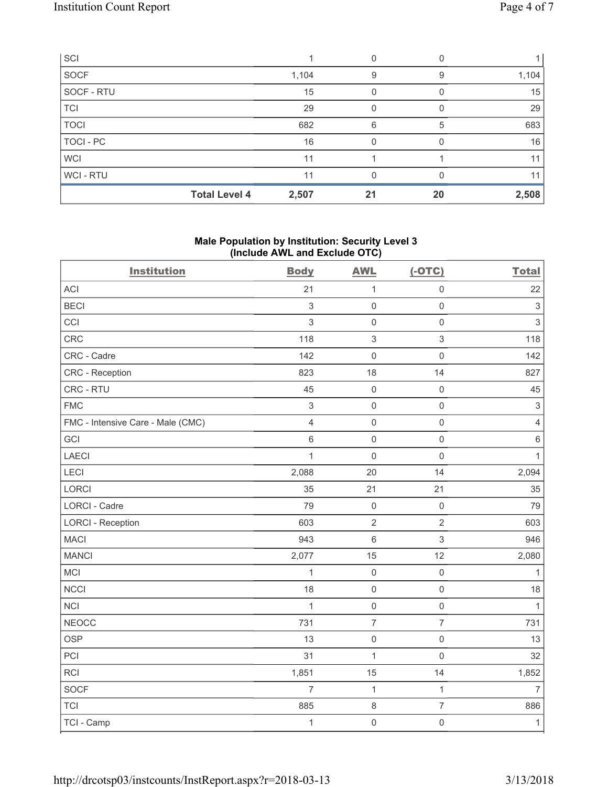| SCI         |                      |       |    |    |       |
|-------------|----------------------|-------|----|----|-------|
| <b>SOCF</b> |                      | 1,104 | 9  | 9  | 1,104 |
| SOCF - RTU  |                      | 15    | 0  |    | 15    |
| <b>TCI</b>  |                      | 29    | 0  |    | 29    |
| <b>TOCI</b> |                      | 682   | 6  | 5  | 683   |
| TOCI - PC   |                      | 16    | 0  |    | 16    |
| <b>WCI</b>  |                      | 11    |    |    | 11    |
| WCI - RTU   |                      | 11    | O  |    | 11    |
|             | <b>Total Level 4</b> | 2,507 | 21 | 20 | 2,508 |

# **Male Population by Institution: Security Level 3 (Include AWL and Exclude OTC)**

| <b>Institution</b>                | <b>Body</b>    | <b>AWL</b>          | $(-OTC)$            | <b>Total</b>              |
|-----------------------------------|----------------|---------------------|---------------------|---------------------------|
| <b>ACI</b>                        | 21             | $\mathbf{1}$        | $\mathsf 0$         | 22                        |
| <b>BECI</b>                       | $\sqrt{3}$     | $\mathbf 0$         | $\mathsf{O}\xspace$ | $\,$ 3 $\,$               |
| CCI                               | 3              | $\mathbf 0$         | $\mathsf{O}\xspace$ | $\mathsf 3$               |
| CRC                               | 118            | $\sqrt{3}$          | $\mathfrak{S}$      | 118                       |
| CRC - Cadre                       | 142            | $\mathsf{O}\xspace$ | $\mathsf{O}\xspace$ | 142                       |
| CRC - Reception                   | 823            | 18                  | 14                  | 827                       |
| CRC - RTU                         | 45             | $\mathsf 0$         | $\mathsf{O}\xspace$ | 45                        |
| <b>FMC</b>                        | $\,$ 3 $\,$    | $\mathsf{O}\xspace$ | $\mathsf{O}\xspace$ | $\ensuremath{\mathsf{3}}$ |
| FMC - Intensive Care - Male (CMC) | $\overline{4}$ | $\mathbf 0$         | $\mathsf 0$         | $\overline{4}$            |
| GCI                               | $\,6\,$        | $\mathsf 0$         | $\mathsf{O}\xspace$ | $\,6\,$                   |
| <b>LAECI</b>                      | 1              | $\mathbf 0$         | $\mathsf{O}\xspace$ | $\mathbf{1}$              |
| LECI                              | 2,088          | 20                  | 14                  | 2,094                     |
| <b>LORCI</b>                      | 35             | 21                  | 21                  | 35                        |
| <b>LORCI - Cadre</b>              | 79             | $\mathbf 0$         | $\mathbf 0$         | 79                        |
| <b>LORCI - Reception</b>          | 603            | $\overline{2}$      | $\overline{2}$      | 603                       |
| <b>MACI</b>                       | 943            | $6\,$               | $\mathfrak{S}$      | 946                       |
| <b>MANCI</b>                      | 2,077          | 15                  | 12                  | 2,080                     |
| MCI                               | 1              | $\mathsf{O}\xspace$ | $\mathsf 0$         | $\mathbf{1}$              |
| <b>NCCI</b>                       | 18             | $\mathsf{O}\xspace$ | $\mathsf 0$         | 18                        |
| <b>NCI</b>                        | 1              | $\mathsf{O}\xspace$ | $\mathsf 0$         | $\mathbf{1}$              |
| <b>NEOCC</b>                      | 731            | $\overline{7}$      | $\overline{7}$      | 731                       |
| <b>OSP</b>                        | 13             | $\mathsf{O}\xspace$ | $\mathsf{O}\xspace$ | 13                        |
| PCI                               | 31             | $\mathbf 1$         | $\mathbf 0$         | 32                        |
| RCI                               | 1,851          | 15                  | 14                  | 1,852                     |
| <b>SOCF</b>                       | 7              | $\mathbf{1}$        | $\mathbf{1}$        | $\overline{7}$            |
| <b>TCI</b>                        | 885            | $\,8\,$             | $\overline{7}$      | 886                       |
| TCI - Camp                        | $\mathbf{1}$   | $\mathsf{O}\xspace$ | $\mathsf{O}\xspace$ | $\mathbf{1}$              |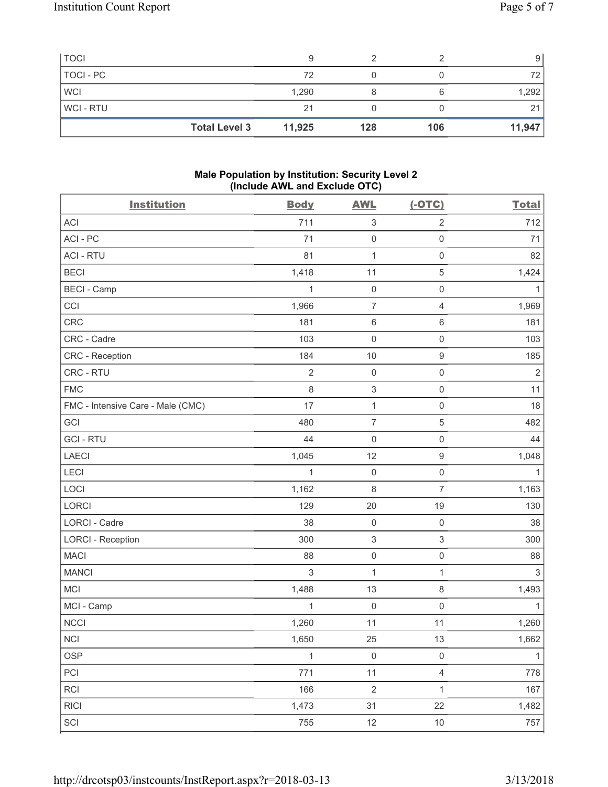| <b>Total Level 3</b> | 11,925 | 128 | 106 | 11,947 |
|----------------------|--------|-----|-----|--------|
| <b>WCI-RTU</b>       | 21     |     |     |        |
| <b>WCI</b>           | 1,290  |     |     | 1,292  |
| TOCI - PC            | 72     |     |     |        |
| <b>TOCI</b>          |        |     |     | 9      |

# **Male Population by Institution: Security Level 2 (Include AWL and Exclude OTC)**

| <b>Institution</b>                | <b>Body</b>    | <b>AWL</b>                | $(-OTC)$            | <b>Total</b>   |
|-----------------------------------|----------------|---------------------------|---------------------|----------------|
| <b>ACI</b>                        | 711            | $\ensuremath{\mathsf{3}}$ | $\overline{2}$      | 712            |
| ACI - PC                          | 71             | $\mathbf 0$               | $\mathsf 0$         | 71             |
| <b>ACI - RTU</b>                  | 81             | $\mathbf{1}$              | $\mathsf 0$         | 82             |
| <b>BECI</b>                       | 1,418          | 11                        | $\,$ 5 $\,$         | 1,424          |
| <b>BECI</b> - Camp                | 1              | $\mathbf 0$               | $\mathsf{O}\xspace$ | 1              |
| CCI                               | 1,966          | $\overline{7}$            | $\overline{4}$      | 1,969          |
| <b>CRC</b>                        | 181            | $\,6\,$                   | 6                   | 181            |
| CRC - Cadre                       | 103            | $\mathbf 0$               | $\mathsf 0$         | 103            |
| CRC - Reception                   | 184            | 10                        | 9                   | 185            |
| CRC - RTU                         | $\overline{2}$ | $\mathbf 0$               | $\mathsf 0$         | $\overline{2}$ |
| <b>FMC</b>                        | $\,8\,$        | $\,$ 3 $\,$               | $\mathsf 0$         | 11             |
| FMC - Intensive Care - Male (CMC) | 17             | $\mathbf 1$               | $\mathsf 0$         | 18             |
| GCI                               | 480            | $\overline{7}$            | 5                   | 482            |
| <b>GCI-RTU</b>                    | 44             | $\mathbf 0$               | $\mathsf 0$         | 44             |
| <b>LAECI</b>                      | 1,045          | 12                        | $\mathsf g$         | 1,048          |
| LECI                              | 1              | $\mathbf 0$               | $\mathsf{O}\xspace$ | $\mathbf{1}$   |
| LOCI                              | 1,162          | 8                         | $\overline{7}$      | 1,163          |
| <b>LORCI</b>                      | 129            | 20                        | 19                  | 130            |
| LORCI - Cadre                     | 38             | $\mathsf 0$               | $\mathbf 0$         | 38             |
| <b>LORCI - Reception</b>          | 300            | $\,$ 3 $\,$               | 3                   | 300            |
| <b>MACI</b>                       | 88             | $\mathsf{O}\xspace$       | $\mathsf{O}\xspace$ | 88             |
| <b>MANCI</b>                      | 3              | $\mathbf 1$               | $\mathbf{1}$        | $\sqrt{3}$     |
| <b>MCI</b>                        | 1,488          | 13                        | 8                   | 1,493          |
| MCI - Camp                        | 1              | $\mathbf 0$               | 0                   | 1              |
| <b>NCCI</b>                       | 1,260          | 11                        | 11                  | 1,260          |
| $\sf NCI$                         | 1,650          | 25                        | $13\,$              | 1,662          |
| <b>OSP</b>                        | $\mathbf{1}$   | $\mathsf{O}\xspace$       | $\mathsf{O}\xspace$ | $\mathbf{1}$   |
| PCI                               | 771            | 11                        | $\overline{4}$      | 778            |
| RCI                               | 166            | $\sqrt{2}$                | $\mathbf{1}$        | 167            |
| <b>RICI</b>                       | 1,473          | 31                        | 22                  | 1,482          |
| SCI                               | 755            | 12                        | $10$                | 757            |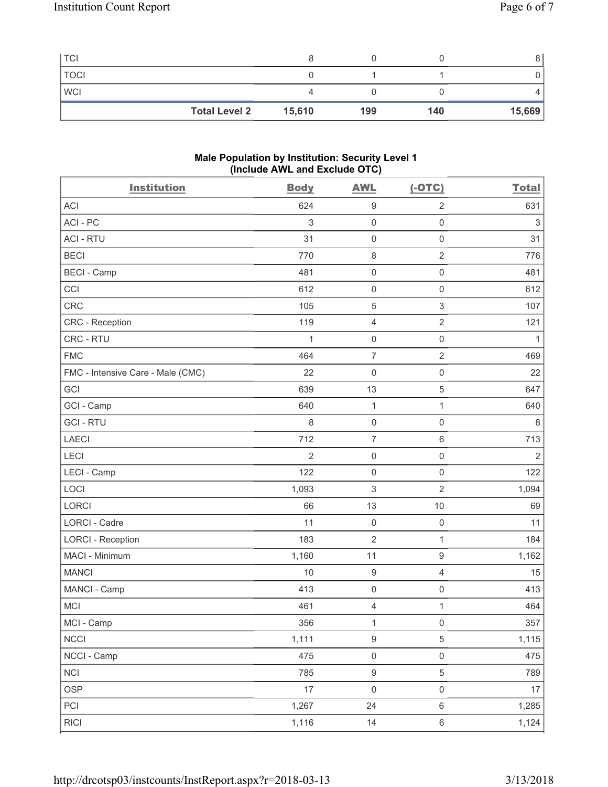| <b>TCI</b>  |                      |        |     |     |        |
|-------------|----------------------|--------|-----|-----|--------|
| <b>TOCI</b> |                      |        |     |     |        |
| <b>WCI</b>  |                      |        |     |     |        |
|             | <b>Total Level 2</b> | 15,610 | 199 | 140 | 15,669 |

#### **Male Population by Institution: Security Level 1 (Include AWL and Exclude OTC)**

| <b>Institution</b>                | <b>Body</b> | <b>AWL</b>                | $(-OTC)$                  | <b>Total</b>   |
|-----------------------------------|-------------|---------------------------|---------------------------|----------------|
| <b>ACI</b>                        | 624         | $\boldsymbol{9}$          | $\overline{2}$            | 631            |
| ACI - PC                          | 3           | $\mathsf{O}\xspace$       | $\mathsf 0$               | $\,$ 3 $\,$    |
| <b>ACI - RTU</b>                  | 31          | $\mathsf{O}\xspace$       | $\mathsf{O}\xspace$       | 31             |
| <b>BECI</b>                       | 770         | $\,8\,$                   | $\overline{2}$            | 776            |
| <b>BECI</b> - Camp                | 481         | $\mathsf 0$               | $\mathsf{O}\xspace$       | 481            |
| CCI                               | 612         | $\mathsf{O}\xspace$       | $\mathsf 0$               | 612            |
| <b>CRC</b>                        | 105         | $\sqrt{5}$                | $\ensuremath{\mathsf{3}}$ | 107            |
| <b>CRC</b> - Reception            | 119         | $\overline{4}$            | $\overline{2}$            | 121            |
| CRC - RTU                         | 1           | $\mathsf{O}\xspace$       | $\mathsf 0$               | 1              |
| <b>FMC</b>                        | 464         | $\overline{7}$            | $\overline{2}$            | 469            |
| FMC - Intensive Care - Male (CMC) | 22          | $\mathsf{O}\xspace$       | $\mathsf 0$               | 22             |
| GCI                               | 639         | 13                        | $\,$ 5 $\,$               | 647            |
| GCI - Camp                        | 640         | $\mathbf{1}$              | $\mathbf{1}$              | 640            |
| <b>GCI-RTU</b>                    | 8           | $\mathsf{O}\xspace$       | $\mathsf 0$               | $\,8\,$        |
| <b>LAECI</b>                      | 712         | $\overline{7}$            | 6                         | 713            |
| LECI                              | 2           | $\mathsf{O}\xspace$       | $\mathsf{O}\xspace$       | $\overline{2}$ |
| LECI - Camp                       | 122         | $\mathsf{O}\xspace$       | $\mathsf{O}\xspace$       | 122            |
| LOCI                              | 1,093       | $\ensuremath{\mathsf{3}}$ | $\overline{2}$            | 1,094          |
| <b>LORCI</b>                      | 66          | 13                        | 10                        | 69             |
| LORCI - Cadre                     | 11          | $\mathsf{O}\xspace$       | $\mathsf{O}\xspace$       | 11             |
| <b>LORCI - Reception</b>          | 183         | $\overline{2}$            | $\mathbf{1}$              | 184            |
| MACI - Minimum                    | 1,160       | 11                        | $\hbox{9}$                | 1,162          |
| <b>MANCI</b>                      | 10          | $\boldsymbol{9}$          | $\overline{4}$            | 15             |
| MANCI - Camp                      | 413         | $\mathsf{O}\xspace$       | $\mathsf{O}\xspace$       | 413            |
| <b>MCI</b>                        | 461         | $\overline{4}$            | $\mathbf{1}$              | 464            |
| MCI - Camp                        | 356         | $\mathbf{1}$              | $\mathsf{O}\xspace$       | 357            |
| <b>NCCI</b>                       | 1,111       | $\boldsymbol{9}$          | 5                         | 1,115          |
| NCCI - Camp                       | 475         | $\mathsf 0$               | $\mathsf{O}\xspace$       | 475            |
| <b>NCI</b>                        | 785         | $\mathsf g$               | 5                         | 789            |
| <b>OSP</b>                        | 17          | $\mathsf 0$               | $\mathsf{O}\xspace$       | 17             |
| PCI                               | 1,267       | 24                        | $\,6\,$                   | 1,285          |
| <b>RICI</b>                       | 1,116       | 14                        | $\,6\,$                   | 1,124          |